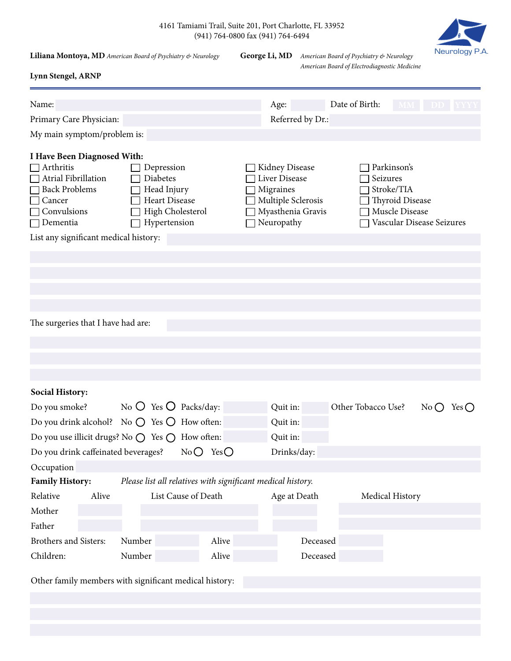|  | 4161 Tamiami Trail, Suite 201, Port Charlotte, FL 33952 |  |
|--|---------------------------------------------------------|--|
|  | $(941)$ 764-0800 fax $(941)$ 764-6494                   |  |

**Liliana Montoya, MD** *American Board of Psychiatry & Neurology* **George Li, MD** *American Board of Psychiatry & Neurology*

**Lynn Stengel, ARNP**

*American Board of Electrodiagnostic Medicine*

Neurology P.A.

| Name:                                                                                                                                                                                             |                                                                                                   |                  | Age:                                                                                                  | Date of Birth:     | MM DD YYYY                                                                                         |          |  |
|---------------------------------------------------------------------------------------------------------------------------------------------------------------------------------------------------|---------------------------------------------------------------------------------------------------|------------------|-------------------------------------------------------------------------------------------------------|--------------------|----------------------------------------------------------------------------------------------------|----------|--|
| Primary Care Physician:                                                                                                                                                                           |                                                                                                   | Referred by Dr.: |                                                                                                       |                    |                                                                                                    |          |  |
| My main symptom/problem is:                                                                                                                                                                       |                                                                                                   |                  |                                                                                                       |                    |                                                                                                    |          |  |
|                                                                                                                                                                                                   |                                                                                                   |                  |                                                                                                       |                    |                                                                                                    |          |  |
| I Have Been Diagnosed With:<br>$\Box$ Arthritis<br>$\Box$ Atrial Fibrillation<br><b>Back Problems</b><br>Cancer<br>$\Box$ Convulsions<br>$\Box$ Dementia<br>List any significant medical history: | Depression<br>Diabetes<br>Head Injury<br><b>Heart Disease</b><br>High Cholesterol<br>Hypertension |                  | Kidney Disease<br>Liver Disease<br>Migraines<br>Multiple Sclerosis<br>Myasthenia Gravis<br>Neuropathy | Seizures           | Parkinson's<br>Stroke/TIA<br><b>Thyroid Disease</b><br>Muscle Disease<br>Vascular Disease Seizures |          |  |
| The surgeries that I have had are:                                                                                                                                                                |                                                                                                   |                  |                                                                                                       |                    |                                                                                                    |          |  |
| <b>Social History:</b>                                                                                                                                                                            |                                                                                                   |                  |                                                                                                       |                    |                                                                                                    |          |  |
| Do you smoke?                                                                                                                                                                                     | No $\bigcirc$ Yes $\bigcirc$ Packs/day:                                                           |                  | Quit in:                                                                                              | Other Tobacco Use? |                                                                                                    | NoO YesO |  |
| Do you drink alcohol? No $\bigcirc$ Yes $\bigcirc$ How often:                                                                                                                                     |                                                                                                   |                  | Quit in:                                                                                              |                    |                                                                                                    |          |  |
| Do you use illicit drugs? No ○ Yes ○<br>Quit in:<br>How often:                                                                                                                                    |                                                                                                   |                  |                                                                                                       |                    |                                                                                                    |          |  |
| Do you drink caffeinated beverages?                                                                                                                                                               | $NoO$ Yes $O$                                                                                     |                  | Drinks/day:                                                                                           |                    |                                                                                                    |          |  |
| Occupation                                                                                                                                                                                        |                                                                                                   |                  |                                                                                                       |                    |                                                                                                    |          |  |
| <b>Family History:</b>                                                                                                                                                                            | Please list all relatives with significant medical history.                                       |                  |                                                                                                       |                    |                                                                                                    |          |  |
| Relative<br>Alive                                                                                                                                                                                 | List Cause of Death                                                                               |                  | Age at Death                                                                                          |                    | Medical History                                                                                    |          |  |
| Mother                                                                                                                                                                                            |                                                                                                   |                  |                                                                                                       |                    |                                                                                                    |          |  |
| Father                                                                                                                                                                                            |                                                                                                   |                  |                                                                                                       |                    |                                                                                                    |          |  |
| Brothers and Sisters:<br>Number                                                                                                                                                                   | Alive                                                                                             |                  | Deceased                                                                                              |                    |                                                                                                    |          |  |
| Children:<br>Number                                                                                                                                                                               | Alive                                                                                             |                  | Deceased                                                                                              |                    |                                                                                                    |          |  |
| Other family members with significant medical history:                                                                                                                                            |                                                                                                   |                  |                                                                                                       |                    |                                                                                                    |          |  |